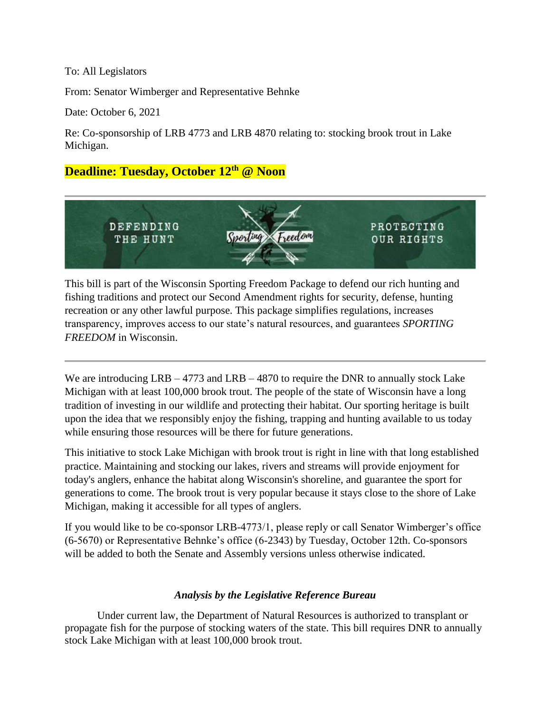## To: All Legislators

From: Senator Wimberger and Representative Behnke

Date: October 6, 2021

Re: Co-sponsorship of LRB 4773 and LRB 4870 relating to: stocking brook trout in Lake Michigan.

## **Deadline: Tuesday, October 12th @ Noon**



This bill is part of the Wisconsin Sporting Freedom Package to defend our rich hunting and fishing traditions and protect our Second Amendment rights for security, defense, hunting recreation or any other lawful purpose. This package simplifies regulations, increases transparency, improves access to our state's natural resources, and guarantees *SPORTING FREEDOM* in Wisconsin.

We are introducing LRB – 4773 and LRB – 4870 to require the DNR to annually stock Lake Michigan with at least 100,000 brook trout. The people of the state of Wisconsin have a long tradition of investing in our wildlife and protecting their habitat. Our sporting heritage is built upon the idea that we responsibly enjoy the fishing, trapping and hunting available to us today while ensuring those resources will be there for future generations.

This initiative to stock Lake Michigan with brook trout is right in line with that long established practice. Maintaining and stocking our lakes, rivers and streams will provide enjoyment for today's anglers, enhance the habitat along Wisconsin's shoreline, and guarantee the sport for generations to come. The brook trout is very popular because it stays close to the shore of Lake Michigan, making it accessible for all types of anglers.

If you would like to be co-sponsor LRB-4773/1, please reply or call Senator Wimberger's office (6-5670) or Representative Behnke's office (6-2343) by Tuesday, October 12th. Co-sponsors will be added to both the Senate and Assembly versions unless otherwise indicated.

## *Analysis by the Legislative Reference Bureau*

Under current law, the Department of Natural Resources is authorized to transplant or propagate fish for the purpose of stocking waters of the state. This bill requires DNR to annually stock Lake Michigan with at least 100,000 brook trout.